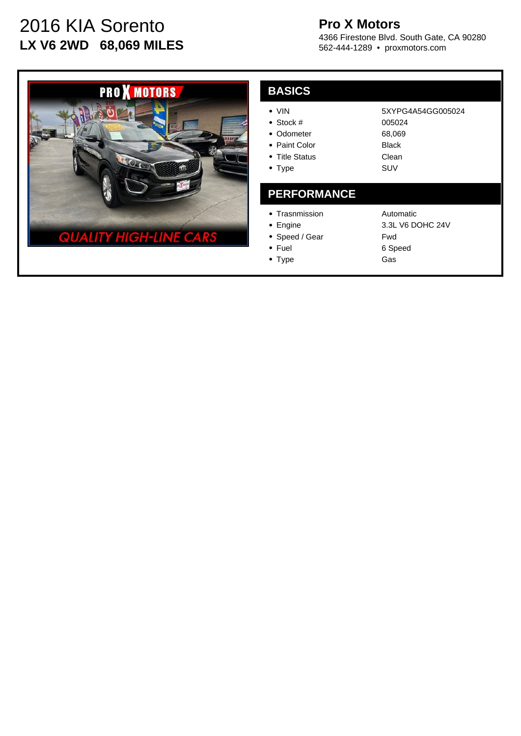# 2016 KIA Sorento **LX V6 2WD 68,069 MILES**

## **Pro X Motors**

4366 Firestone Blvd. South Gate, CA 90280 562-444-1289 • proxmotors.com

> 005024 68,069 Black Clean SUV

5XYPG4A54GG005024



| A<br>P, | <b>SIC</b> |
|---------|------------|
|         |            |

- Stock #
- Odometer
- Paint Color
- Title Status
- Type

#### **PERFORMANCE**

- Trasnmission
- Engine
- Speed / Gear
- Fuel • Type

Automatic 3.3L V6 DOHC 24V Fwd 6 Speed Gas